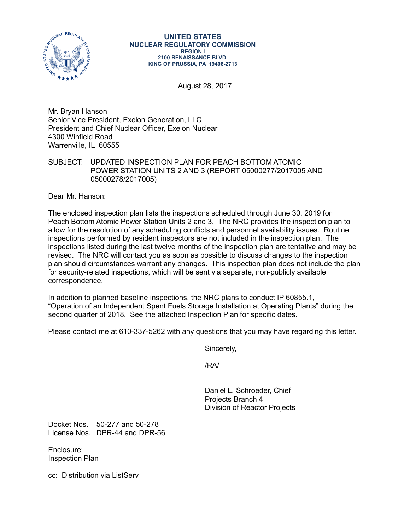

August 28, 2017

Mr. Bryan Hanson Senior Vice President, Exelon Generation, LLC President and Chief Nuclear Officer, Exelon Nuclear 4300 Winfield Road Warrenville, IL 60555

## SUBJECT: UPDATED INSPECTION PLAN FOR PEACH BOTTOM ATOMIC POWER STATION UNITS 2 AND 3 (REPORT 05000277/2017005 AND 05000278/2017005)

Dear Mr. Hanson:

The enclosed inspection plan lists the inspections scheduled through June 30, 2019 for Peach Bottom Atomic Power Station Units 2 and 3. The NRC provides the inspection plan to allow for the resolution of any scheduling conflicts and personnel availability issues. Routine inspections performed by resident inspectors are not included in the inspection plan. The inspections listed during the last twelve months of the inspection plan are tentative and may be revised. The NRC will contact you as soon as possible to discuss changes to the inspection plan should circumstances warrant any changes. This inspection plan does not include the plan for security-related inspections, which will be sent via separate, non-publicly available correspondence.

In addition to planned baseline inspections, the NRC plans to conduct IP 60855.1, "Operation of an Independent Spent Fuels Storage Installation at Operating Plants" during the second quarter of 2018. See the attached Inspection Plan for specific dates.

Please contact me at 610-337-5262 with any questions that you may have regarding this letter.

Sincerely,

/RA/

Daniel L. Schroeder, Chief Projects Branch 4 Division of Reactor Projects

Docket Nos. 50-277 and 50-278 License Nos. DPR-44 and DPR-56

Enclosure: Inspection Plan

cc: Distribution via ListServ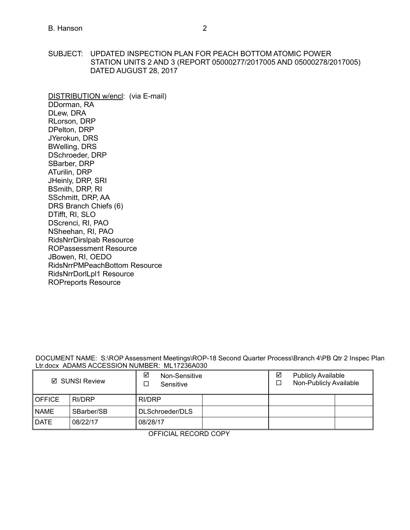SUBJECT: UPDATED INSPECTION PLAN FOR PEACH BOTTOM ATOMIC POWER STATION UNITS 2 AND 3 (REPORT 05000277/2017005 AND 05000278/2017005) DATED AUGUST 28, 2017

DISTRIBUTION w/encl: (via E-mail) DDorman, RA DLew, DRA RLorson, DRP DPelton, DRP JYerokun, DRS BWelling, DRS DSchroeder, DRP SBarber, DRP ATurilin, DRP JHeinly, DRP, SRI BSmith, DRP, RI SSchmitt, DRP, AA DRS Branch Chiefs (6) DTifft, RI, SLO DScrenci, RI, PAO NSheehan, RI, PAO [RidsNrrDirslpab Resource](mailto:RidsNrrDirslpab@nrc.gov)  ROPassessment Resource JBowen, RI, OEDO RidsNrrPMPeachBottom Resource RidsNrrDorlLpl1 Resource [ROPreports Reso](mailto:ROPreportsResource@nrc.gov)urce

DOCUMENT NAME: S:\ROP Assessment Meetings\ROP-18 Second Quarter Process\Branch 4\PB Qtr 2 Inspec Plan Ltr.docx ADAMS ACCESSION NUMBER: ML17236A030

| ☑ SUNSI Review |            | ☑<br>Non-Sensitive<br>Sensitive |  | ☑<br>□ | <b>Publicly Available</b><br>Non-Publicly Available |  |
|----------------|------------|---------------------------------|--|--------|-----------------------------------------------------|--|
| <b>OFFICE</b>  | RI/DRP     | RI/DRP                          |  |        |                                                     |  |
| <b>NAME</b>    | SBarber/SB | DLSchroeder/DLS                 |  |        |                                                     |  |
| <b>DATE</b>    | 08/22/17   | 08/28/17                        |  |        |                                                     |  |

OFFICIAL RECORD COPY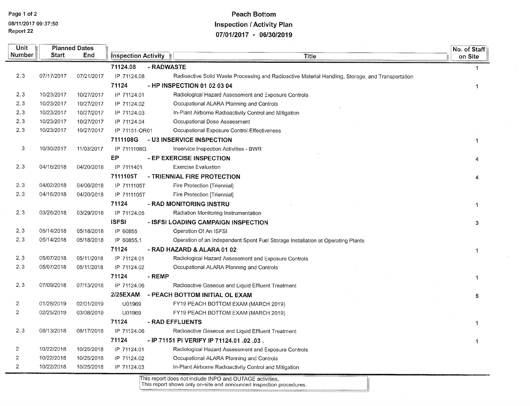## **Peach Bottom Inspection / Activity Plan** 07/01/2017 - 06/30/2019

| Unit           |              | <b>Planned Dates</b> |                            |                                                                                                   |         | No. of Staff |
|----------------|--------------|----------------------|----------------------------|---------------------------------------------------------------------------------------------------|---------|--------------|
| Number         | <b>Start</b> | End                  | <b>Inspection Activity</b> | <b>Title</b>                                                                                      | on Site |              |
|                |              |                      | 71124.08                   | - RADWASTE                                                                                        |         | -1           |
| 2, 3           | 07/17/2017   | 07/21/2017           | IP 71124.08                | Radioactive Solid Waste Processing and Radioactive Material Handling, Storage, and Transportation |         |              |
|                |              |                      | 71124                      | - HP INSPECTION 01 02 03 04                                                                       |         | -1           |
| 2, 3           | 10/23/2017   | 10/27/2017           | IP 71124.01                | Radiological Hazard Assessment and Exposure Controls                                              |         |              |
| 2, 3           | 10/23/2017   | 10/27/2017           | IP 71124.02                | Occupational ALARA Planning and Controls                                                          |         |              |
| 2, 3           | 10/23/2017   | 10/27/2017           | IP 71124.03                | In-Plant Airborne Radioactivity Control and Mitigation                                            |         |              |
| 2, 3           | 10/23/2017   | 10/27/2017           | IP 71124.04                | Occupational Dose Assessment                                                                      |         |              |
| 2, 3           | 10/23/2017   | 10/27/2017           | IP 71151-OR01              | Occupational Exposure Control Effectiveness                                                       |         |              |
|                |              |                      | 7111108G                   | - U3 INSERVICE INSPECTION                                                                         |         | 1            |
| 3              | 10/30/2017   | 11/03/2017           | IP 7111108G                | Inservice Inspection Activities - BWR                                                             |         |              |
|                |              |                      | EР                         | - EP EXERCISE INSPECTION                                                                          |         |              |
| 2, 3           | 04/16/2018   | 04/20/2018           | IP 7111401                 | <b>Exercise Evaluation</b>                                                                        |         |              |
|                |              |                      | 7111105T                   | - TRIENNIAL FIRE PROTECTION                                                                       |         |              |
| 2, 3           | 04/02/2018   | 04/06/2018           | IP 7111105T                | Fire Protection [Triennial]                                                                       |         |              |
| 2, 3           | 04/16/2018   | 04/20/2018           | IP 7111105T                | Fire Protection [Triennial]                                                                       |         |              |
|                |              |                      | 71124                      | - RAD MONITORING INSTRU                                                                           |         | 1            |
| 2, 3           | 03/26/2018   | 03/29/2018           | IP 71124.05                | Radiation Monitoring Instrumentation                                                              |         |              |
|                |              |                      | <b>ISFSI</b>               | - ISFSI LOADING CAMPAIGN INSPECTION                                                               |         | 3            |
| 2, 3           | 05/14/2018   | 05/18/2018           | IP 60855                   | Operation Of An ISFSI                                                                             |         |              |
| 2, 3           | 05/14/2018   | 05/18/2018           | IP 60855.1                 | Operation of an Independent Spent Fuel Storage Installation at Operating Plants                   |         |              |
|                |              |                      | 71124                      | - RAD HAZARD & ALARA 01 02                                                                        |         | $\mathbf{1}$ |
| 2,3            | 05/07/2018   | 05/11/2018           | IP 71124.01                | Radiological Hazard Assessment and Exposure Controls                                              |         |              |
| 2, 3           | 05/07/2018   | 05/11/2018           | IP 71124.02                | Occupational ALARA Planning and Controls                                                          |         |              |
|                |              |                      | 71124                      | - REMP                                                                                            |         | 1            |
| 2,3            | 07/09/2018   | 07/13/2018           | IP 71124.06                | Radioactive Gaseous and Liquid Effluent Treatment                                                 |         |              |
|                |              |                      | 2/25EXAM                   | - PEACH BOTTOM INITIAL OL EXAM                                                                    |         | 5            |
| $\overline{2}$ | 01/28/2019   | 02/01/2019           | U01969                     | FY19 PEACH BOTTOM EXAM (MARCH 2019)                                                               |         |              |
| $\mathbf{2}$   | 02/25/2019   | 03/08/2019           | U01969                     | FY19 PEACH BOTTOM EXAM (MARCH 2019)                                                               |         |              |
|                |              |                      | 71124                      | - RAD EFFLUENTS                                                                                   |         | -1           |
| 2, 3           | 08/13/2018   | 08/17/2018           | IP 71124.06                | Radioactive Gaseous and Liquid Effluent Treatment                                                 |         |              |
|                |              |                      | 71124                      | - IP 71151 PI VERIFY IP 71124.01 .02 .03 .                                                        |         | -1           |
| $\overline{c}$ | 10/22/2018   | 10/25/2018           | IP 71124.01                | Radiological Hazard Assessment and Exposure Controls                                              |         |              |
| $\overline{2}$ | 10/22/2018   | 10/25/2018           | IP 71124.02                | Occupational ALARA Planning and Controls                                                          |         |              |
| $\overline{2}$ | 10/22/2018   | 10/25/2018           | IP 71124.03                | In-Plant Airborne Radioactivity Control and Mitigation                                            |         |              |
|                |              |                      |                            | This report does not include INPO and OUTAGE activities.                                          |         |              |

This report shows only on-site and announced inspection procedures.